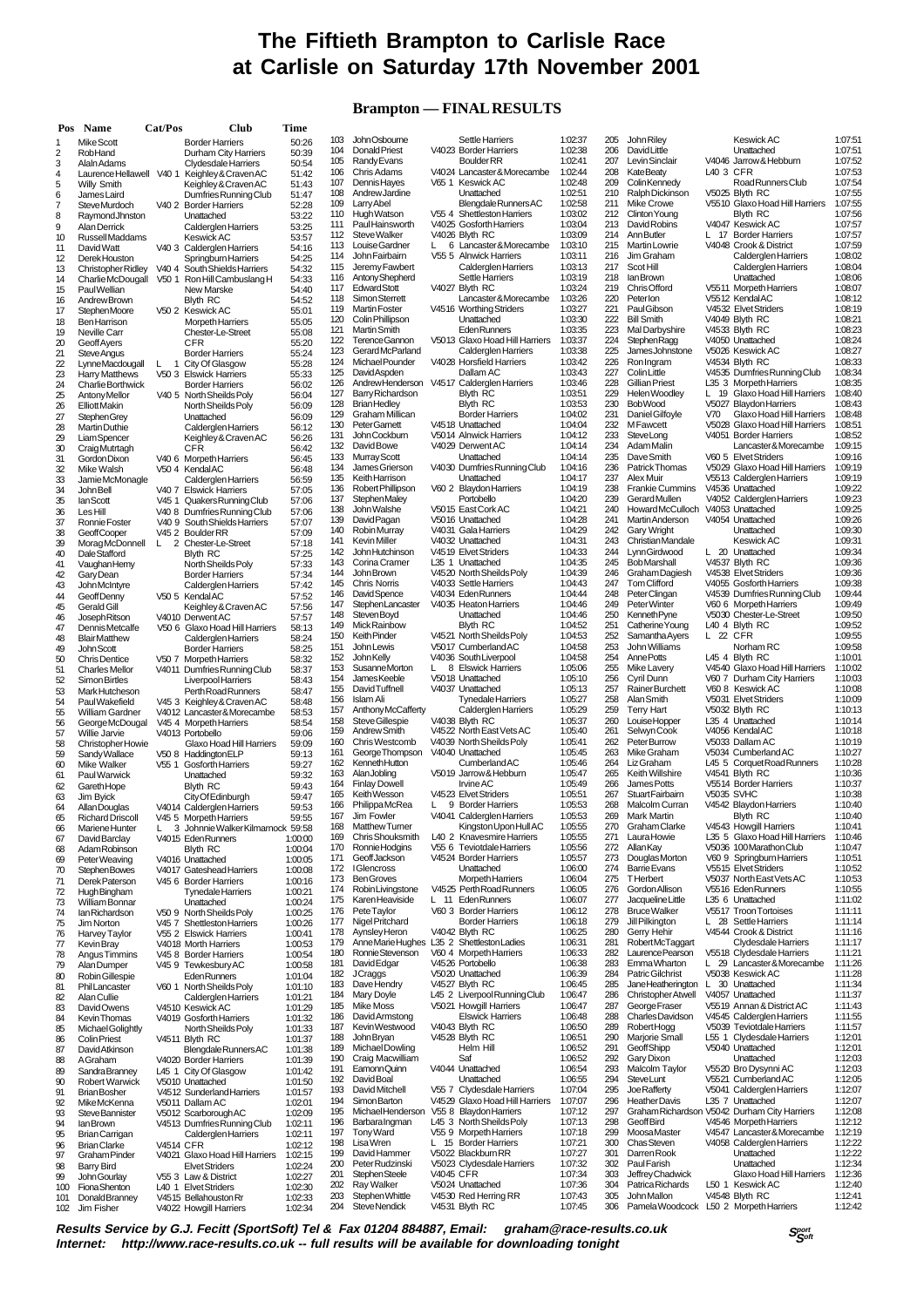# **The Fiftieth Brampton to Carlisle Race at Carlisle on Saturday 17th November 2001**

### **Brampton — FINAL RESULTS**

| Pos      | <b>Name</b>                                    | Cat/Pos           | Club                                                          | Time               |
|----------|------------------------------------------------|-------------------|---------------------------------------------------------------|--------------------|
| 1        | Mike Scott                                     |                   | <b>Border Harriers</b>                                        | 50:26              |
| 2<br>3   | <b>RobHand</b><br>Alain Adams                  |                   | Durham City Harriers<br>Clydesdale Harriers                   | 50:39<br>50:54     |
| 4        | Laurence Hellawell                             | V <sub>40</sub> 1 | Keighley & Craven AC                                          | 51:42              |
| 5<br>6   | <b>Willy Smith</b><br>James Laird              |                   | Keighley & Craven AC<br>Dumfries Running Club                 | 51:43<br>51:47     |
| 7        | Steve Murdoch                                  |                   | V40 2 Border Harriers                                         | 52:28              |
| 8        | RaymondJhnston                                 |                   | Unattached                                                    | 53:22              |
| 9<br>10  | Alan Derrick<br>Russell Maddams                |                   | <b>Calderglen Harriers</b><br>Keswick AC                      | 53:25<br>53:57     |
| 11       | David Watt                                     |                   | V40 3 Calderglen Harriers                                     | 54:16              |
| 12       | Derek Houston                                  |                   | Springburn Harriers                                           | 54:25              |
| 13<br>14 | <b>Christopher Ridley</b><br>Charlie McDougall | V40 4<br>V50 1    | South Shields Harriers<br>Ron Hill Cambuslang H               | 54:32<br>54:33     |
| 15       | <b>PaulWellian</b>                             |                   | New Marske                                                    | 54:40              |
| 16<br>17 | Andrew Brown                                   |                   | Blyth RC<br>V50 2 Keswick AC                                  | 54:52              |
| 18       | Stephen Moore<br><b>Ben Harrison</b>           |                   | <b>Morpeth Harriers</b>                                       | 55:01<br>55:05     |
| 19       | <b>Neville Carr</b>                            |                   | <b>Chester-Le-Street</b>                                      | 55:08              |
| 20<br>21 | <b>Geoff Ayers</b><br><b>Steve Angus</b>       |                   | CFR<br><b>Border Harriers</b>                                 | 55:20<br>55:24     |
| 22       | LynneMacdougall                                | 1                 | City Of Glasgow                                               | 55:28              |
| 23       | <b>Harry Matthews</b>                          |                   | V50 3 Elswick Harriers                                        | 55:33              |
| 24<br>25 | <b>Charlie Borthwick</b><br>Antony Mellor      |                   | <b>Border Harriers</b><br>V40 5 North Sheilds Poly            | 56:02<br>56:04     |
| 26       | <b>Elliott Makin</b>                           |                   | North Sheilds Poly                                            | 56:09              |
| 27       | <b>StephenGrey</b>                             |                   | Unattached                                                    | 56:09              |
| 28<br>29 | <b>Martin Duthie</b><br>Liam Spencer           |                   | Calderglen Harriers<br>Keighley & Craven AC                   | 56:12<br>56:26     |
| 30       | Craig Mutrtagh                                 |                   | CFR                                                           | 56:42              |
| 31<br>32 | Gordon Dixon<br>Mike Walsh                     |                   | V40 6 Morpeth Harriers<br>V50 4 Kendal AC                     | 56:45<br>56:48     |
| 33       | Jamie McMonagle                                |                   | Calderglen Harriers                                           | 56:59              |
| 34       | John Bell                                      | V <sub>40</sub> 7 | <b>Elswick Harriers</b>                                       | 57:05              |
| 35<br>36 | lanScott<br>Les Hill                           |                   | V45 1 Quakers Running Club<br>V40 8 Dumfries Running Club     | 57:06<br>57:06     |
| 37       | Ronnie Foster                                  |                   | V40 9 South Shields Harriers                                  | 57:07              |
| 38       | <b>GeoffCooper</b>                             |                   | V45 2 Boulder RR                                              | 57:09              |
| 39<br>40 | Morag McDonnell<br>Dale Stafford               | L                 | 2 Chester-Le-Street<br><b>Blyth RC</b>                        | 57:18<br>57:25     |
| 41       | Vaughan Hemy                                   |                   | North Sheilds Poly                                            | 57:33              |
| 42       | Gary Dean                                      |                   | <b>Border Harriers</b>                                        | 57:34              |
| 43<br>44 | John McIntyre<br>Geoff Denny                   |                   | Calderglen Harriers<br>V50 5 KendalAC                         | 57:42<br>57:52     |
| 45       | Gerald Gill                                    |                   | Keighley & Craven AC                                          | 57:56              |
| 46<br>47 | Joseph Ritson<br>Dennis Metcalfe               |                   | V4010 Derwent AC<br>V50 6 Glaxo Hoad Hill Harriers            | 57:57<br>58:13     |
| 48       | <b>Blair Matthew</b>                           |                   | Calderglen Harriers                                           | 58:24              |
| 49       | John Scott                                     |                   | <b>Border Harriers</b>                                        | 58:25              |
| 50<br>51 | <b>Chris Dentice</b><br><b>Charles Mellor</b>  |                   | V50 7 Morpeth Harriers<br>V4011 Dumfries Running Club         | 58:32<br>58:37     |
| 52       | <b>Simon Birtles</b>                           |                   | <b>LiverpoolHarriers</b>                                      | 58:43              |
| 53       | Mark Hutcheson                                 |                   | <b>Perth Road Runners</b>                                     | 58:47              |
| 54<br>55 | Paul Wakefield<br>William Gardner              |                   | V45 3 Keighley & Craven AC<br>V4012 Lancaster&Morecambe       | 58:48<br>58:53     |
| 56       | George McDougal                                |                   | V45 4 Morpeth Harriers                                        | 58:54              |
| 57<br>58 | Willie Jarvie<br>Christopher Howie             |                   | V4013 Portobello<br>Glaxo Hoad Hill Harriers                  | 59:06<br>59:09     |
| 59       | Sandy Wallace                                  |                   | V50 8 Haddington ELP                                          | 59:13              |
| 60       | Mike Walker                                    | V55 1             | Gosforth Harriers                                             | 59:27              |
| 61<br>62 | Paul Warwick<br>Gareth Hope                    |                   | Unattached<br><b>Blyth RC</b>                                 | 59:32<br>59:43     |
| 63       | Jim Byick                                      |                   | City Of Edinburgh                                             | 59:47              |
| 64       | Allan Douglas                                  |                   | V4014 Calderglen Harriers                                     | 59:53              |
| ೲ<br>66  | <b>Kichard Driscoll</b><br>Mariene Hunter      |                   | v45 5 Morpeth Harriers<br>L 3 Johnnie Walker Kilmarnock 59:58 | 59:55              |
| 67       | David Barclay                                  |                   | V4015 EdenRunners                                             | 1:00:00            |
| 68       | Adam Robinson                                  |                   | <b>Blyth RC</b>                                               | 1:00:04<br>1:00:05 |
| 69<br>70 | Peter Weaving<br>Stephen Bowes                 |                   | V4016 Unattached<br>V4017 Gateshead Harriers                  | 1:00:08            |
| 71       | Derek Paterson                                 |                   | V45 6 Border Harriers                                         | 1:00:16            |
| 72<br>73 | <b>HughBingham</b><br>William Bonnar           |                   | Tynedale Harriers<br>Unattached                               | 1:00:21<br>1:00:24 |
| 74       | lan Richardson                                 |                   | V50 9 North Sheilds Poly                                      | 1:00:25            |
| 75       | Jim Norton                                     | V45 7             | <b>Shettleston Harriers</b>                                   | 1:00:26            |
| 76<br>77 | Harvey Taylor<br>Kevin Bray                    |                   | V55 2 Elswick Harriers<br>V4018 Morth Harriers                | 1:00:41<br>1:00:53 |
| 78       | Angus Timmins                                  |                   | V45 8 Border Harriers                                         | 1:00:54            |
| 79<br>80 | Alan Dumper<br>Robin Gillespie                 |                   | V45 9 Tewkesbury AC                                           | 1:00:58            |
| 81       | PhilLancaster                                  | V60 1             | <b>EdenRunners</b><br>North Sheilds Poly                      | 1:01:04<br>1:01:10 |
| 82       | Alan Cullie                                    |                   | Calderglen Harriers                                           | 1:01:21            |
| 83<br>84 | David Owens<br>Kevin Thomas                    |                   | V4510 Keswick AC<br>V4019 Gosforth Harriers                   | 1:01:29<br>1:01:32 |
| 85       | Michael Golightly                              |                   | North Sheilds Poly                                            | 1:01:33            |
| 86       | <b>Colin Priest</b>                            |                   | V4511 Blyth RC                                                | 1:01:37            |
| 87<br>88 | David Atkinson<br>AGraham                      |                   | Blengdale Runners AC<br>V4020 Border Harriers                 | 1:01:38<br>1:01:39 |
| 89       | SandraBranney                                  |                   | L45 1 City Of Glasgow                                         | 1:01:42            |
| 90       | <b>Robert Warwick</b>                          |                   | V5010 Unattached                                              | 1:01:50            |
| 91<br>92 | <b>Brian Bosher</b><br>Mike McKenna            |                   | V4512 Sunderland Harriers<br>V5011 Dallam AC                  | 1:01:57<br>1:02:01 |
| 93       | <b>SteveBannister</b>                          |                   | V5012 Scarborough AC                                          | 1:02:09            |
| 94<br>95 | lan Brown                                      |                   | V4513 Dumfries Running Club                                   | 1:02:11            |
| 96       | Brian Carrigan<br><b>BrianClarke</b>           | <b>V4514 CFR</b>  | Calderglen Harriers                                           | 1:02:11<br>1:02:12 |
| 97       | Graham Pinder                                  |                   | V4021 Glaxo Hoad Hill Harriers                                | 1:02:15            |
| 98<br>99 | Barry Bird<br>John Gourlay                     |                   | <b>Elvet Striders</b><br>V55 3 Law & District                 | 1:02:24<br>1:02:27 |
| 100      | <b>Fiona</b> Shenton                           |                   | L40 1 Elvet Striders                                          | 1:02:30            |
| 101      | <b>Donald Branney</b>                          |                   | V4515 Bellahouston Rr                                         | 1:02:33            |
| 102      | Jim Fisher                                     |                   | V4022 Howgill Harriers                                        | 1:02:34            |

| 103        | John Osbourne                              |           | <b>Settle Harriers</b>                                | 1:02:37            |
|------------|--------------------------------------------|-----------|-------------------------------------------------------|--------------------|
| 104<br>105 | Donald Priest<br>Randy Evans               |           | V4023 Border Harriers<br><b>Boulder RR</b>            | 1:02:38<br>1:02:41 |
| 106        | Chris Adams                                |           | V4024 Lancaster&Morecambe                             | 1:02:44            |
| 107        | Dennis Hayes                               | V65 1     | <b>Keswick AC</b>                                     | 1:02:48            |
| 108        | Andrew Jardine                             |           | Unattached                                            | 1:02:51            |
| 109        | Larry Abel                                 |           | Blengdale Runners AC                                  | 1:02:58            |
| 110<br>111 | Hugh Watson<br><b>PaulHainsworth</b>       | V554      | Shettleston Harriers<br>V4025 Gosforth Harriers       | 1:03:02<br>1:03:04 |
| 112        | Steve Walker                               |           | V4026 Blyth RC                                        | 1:03:09            |
| 113        | Louise Gardner                             | L         | 6 Lancaster & Morecambe                               | 1:03:10            |
| 114        | John Fairbairn                             | V55 5     | <b>Alnwick Harriers</b>                               | 1:03:11            |
| 115        | Jeremy Fawbert                             |           | Calderglen Harriers                                   | 1:03:13            |
| 116<br>117 | Antony Shepherd<br><b>Edward Stott</b>     |           | Settle Harriers<br>V4027 Blyth RC                     | 1:03:19<br>1:03:24 |
| 118        | Simon Sterrett                             |           | Lancaster&Morecambe                                   | 1:03:26            |
| 119        | Martin Foster                              |           | V4516 Worthing Striders                               | 1:03:27            |
| 120        | Colin Phillipson                           |           | Unattached                                            | 1:03:30            |
| 121<br>122 | <b>Martin Smith</b><br>Terence Gannon      |           | <b>Eden Runners</b><br>V5013 Glaxo Hoad Hill Harriers | 1:03:35            |
| 123        | <b>GerardMcParland</b>                     |           | Calderglen Harriers                                   | 1:03:37<br>1:03:38 |
| 124        | Michael Pounder                            |           | V4028 Horsfield Harriers                              | 1:03:42            |
| 125        | DavidAspden                                |           | Dallam AC                                             | 1:03:43            |
| 126        | Andrew Henderson                           |           | V4517 Calderglen Harriers                             | 1:03:46            |
| 127        | Barry Richardson                           |           | <b>Blyth RC</b>                                       | 1:03:51            |
| 128<br>129 | <b>Brian Hedley</b><br>Graham Millican     |           | <b>Blyth RC</b><br><b>Border Harriers</b>             | 1:03:53<br>1:04:02 |
| 130        | Peter Garnett                              |           | V4518 Unattached                                      | 1:04:04            |
| 131        | John Cockburn                              |           | V5014 Alnwick Harriers                                | 1:04:12            |
| 132        | David Bowe                                 |           | V4029 Derwent AC                                      | 1:04:14            |
| 133<br>134 | Murray Scott<br>James Grierson             |           | Unattached                                            | 1:04:14<br>1:04:16 |
| 135        | Keith Harrison                             |           | V4030 Dumfries Running Club<br>Unattached             | 1:04:17            |
| 136        | Robert Phillipson                          |           | V60 2 Blaydon Harriers                                | 1:04:19            |
| 137        | <b>StephenMaley</b>                        |           | Portobello                                            | 1:04:20            |
| 138        | John Walshe                                |           | V5015 East Cork AC                                    | 1:04:21            |
| 139        | David Pagan                                |           | V5016 Unattached                                      | 1:04:28            |
| 140<br>141 | Robin Murray<br>Kevin Miller               |           | V4031 Gala Harriers<br>V4032 Unattached               | 1:04:29<br>1:04:31 |
| 142        | <b>John Hutchinson</b>                     |           | V4519 Elvet Striders                                  | 1:04:33            |
| 143        | Corina Cramer                              |           | L35 1 Unattached                                      | 1:04:35            |
| 144        | John Brown                                 |           | V4520 North Sheilds Poly                              | 1:04:39            |
| 145        | <b>Chris Norris</b>                        |           | V4033 Settle Harriers                                 | 1:04:43            |
| 146<br>147 | <b>DavidSpence</b><br>Stephen Lancaster    |           | V4034 EdenRunners<br>V4035 Heaton Harriers            | 1:04:44<br>1:04:46 |
| 148        | Steven Boyd                                |           | Unattached                                            | 1:04:46            |
| 149        | Mick Rainbow                               |           | <b>Blyth RC</b>                                       | 1:04:52            |
| 150        | <b>Keith Pinder</b>                        |           | V4521 North Sheilds Poly                              | 1:04:53            |
| 151        | John Lewis                                 |           | V5017 Cumberland AC                                   | 1:04:58            |
| 152<br>153 | John Kelly                                 | L         | V4036 South Liverpool<br>8 Elswick Harriers           | 1:04:58<br>1:05:06 |
| 154        | <b>SusanneMorton</b><br><b>JamesKeeble</b> |           | V5018 Unattached                                      | 1:05:10            |
| 155        | David Tuffnell                             |           | V4037 Unattached                                      | 1:05:13            |
| 156        | Islam Ali                                  |           | <b>Tynedale Harriers</b>                              | 1:05:27            |
| 157        | Anthony McCafferty                         |           | Calderglen Harriers                                   | 1:05:29            |
| 158<br>159 | Steve Gillespie                            |           | V4038 Blyth RC                                        | 1:05:37            |
| 160        | Andrew Smith<br>Chris Westcomb             |           | V4522 North East Vets AC<br>V4039 North Sheilds Poly  | 1:05:40<br>1:05:41 |
| 161        | George Thompson                            |           | V4040 Unattached                                      | 1:05:45            |
| 162        | Kenneth Hutton                             |           | Cumberland AC                                         | 1:05:46            |
| 163        | Alan Jobling                               |           | V5019 Jarrow & Hebburn                                | 1:05:47            |
| 164<br>165 | <b>Finlay Dowell</b><br>Keith Wesson       |           | Irvine AC<br>V4523 Elvet Striders                     | 1:05:49<br>1:05:51 |
| 166        | Philippa McRea                             | L.        | 9 Border Harriers                                     | 1:05:53            |
| 167        | Jim Fowler                                 |           | V4041 Calderglen Harriers                             | 1:05:53            |
| 168        | <b>Matthew Turner</b>                      |           | Kingston Upon Hull AC                                 | 1:05:55            |
| 169        | Chris Shouksmith                           |           | L40 2 Knavesmire Harriers                             | 1:05:55            |
| 170        | Ronnie Hodgins                             |           | V55 6 Teviotdale Harriers                             | 1:05:56            |
| 171<br>172 | Geoff Jackson<br><b>I</b> Glencross        |           | V4524 Border Harriers<br>Unattached                   | 1:05:57<br>1:06:00 |
| 173        | <b>BenGroves</b>                           |           | <b>Morpeth Harriers</b>                               | 1:06:04            |
| 174        | RobinLivingstone                           |           | V4525 Perth Road Runners                              | 1:06:05            |
| 175        | KarenHeaviside                             | L<br>11   | <b>Eden Runners</b>                                   | 1:06:07            |
| 176        | <b>PeteTaylor</b>                          |           | V60 3 Border Harriers                                 | 1:06:12            |
| 177<br>178 | Nigel Pritchard<br>Aynsley Heron           |           | <b>Border Harriers</b><br>V4042 Blyth RC              | 1:06:18<br>1:06:25 |
| 179        | Anne Marie Hughes                          |           | L35 2 Shettleston Ladies                              | 1:06:31            |
| 180        | Ronnie Stevenson                           |           | V60 4 Morpeth Harriers                                | 1:06:33            |
| 181        | David Edgar                                |           | V4526 Portobello                                      | 1:06:38            |
| 182        | <b>JCraggs</b>                             |           | V5020 Unattached                                      | 1:06:39            |
| 183<br>184 | Dave Hendry                                |           | V4527 Blyth RC<br>L45 2 Liverpool Running Club        | 1:06:45<br>1:06:47 |
| 185        | Mary Doyle<br>Mike Moss                    |           | V5021 Howgill Harriers                                | 1:06:47            |
| 186        | David Armstong                             |           | <b>Elswick Harriers</b>                               | 1:06:48            |
| 187        | Kevin Westwood                             |           | V4043 Blyth RC                                        | 1:06:50            |
| 188        | <b>John Bryan</b>                          |           | V4528 Blyth RC                                        | 1:06:51            |
| 189        | Michael Dowling                            |           | Helm Hill                                             | 1:06:52            |
| 190<br>191 | Craig Macwilliam<br>EamonnQuinn            |           | Saf<br>V4044 Unattached                               | 1:06:52<br>1:06:54 |
| 192        | David Boal                                 |           | Unattached                                            | 1:06:55            |
| 193        | David Mitchell                             | V55 7     | Clydesdale Harriers                                   | 1:07:04            |
| 194        | Simon Barton                               |           | V4529 Glaxo Hoad Hill Harriers                        | 1:07:07            |
| 195        | Michael Henderson                          |           | V55 8 Blaydon Harriers                                | 1:07:12            |
| 196<br>197 | <b>Barbara Ingman</b><br><b>Tony Ward</b>  |           | L45 3 North Sheilds Poly<br>V55 9 Morpeth Harriers    | 1:07:13<br>1:07:18 |
| 198        | <b>LisaWren</b>                            | L         | 15 Border Harriers                                    | 1:07:21            |
| 199        | David Hammer                               |           | V5022 Blackburn RR                                    | 1:07:27            |
| 200        | Peter Rudzinski                            |           | V5023 Clydesdale Harriers                             | 1:07:32            |
| 201        | <b>StephenSteele</b>                       | V4045 CFR |                                                       | 1:07:34            |
| 202<br>203 | Ray Walker<br>Stephen Whittle              |           | V5024 Unattached<br>V4530 Red Herring RR              | 1:07:36<br>1:07:43 |
|            |                                            |           |                                                       |                    |

| 103        | John Osbourne                                 |           | Settle Harriers                                             | 1:02:37            |
|------------|-----------------------------------------------|-----------|-------------------------------------------------------------|--------------------|
| 104<br>105 | Donald Priest<br><b>Randy Evans</b>           |           | V4023 Border Harriers<br><b>Boulder RR</b>                  | 1:02:38<br>1:02:41 |
| 106        | <b>Chris Adams</b>                            |           | V4024 Lancaster&Morecambe                                   | 1:02:44            |
| 107<br>108 | Dennis Hayes<br>Andrew Jardine                |           | V65 1 Keswick AC<br>Unattached                              | 1:02:48<br>1:02:51 |
| 109        | Larry Abel                                    |           | Blengdale Runners AC                                        | 1:02:58            |
| 110        | Hugh Watson                                   |           | V55 4 Shettleston Harriers                                  | 1:03:02            |
| 111<br>112 | Paul Hainsworth<br>Steve Walker               |           | V4025 Gosforth Harriers<br>V4026 Blyth RC                   | 1:03:04<br>1:03:09 |
| 113        | Louise Gardner                                | 6<br>L    | Lancaster & Morecambe                                       | 1:03:10            |
| 114<br>115 | John Fairbaim<br>Jeremy Fawbert               |           | V55 5 Alnwick Harriers<br>Calderglen Harriers               | 1:03:11<br>1:03:13 |
| 116        | Antony Shepherd                               |           | Settle Harriers                                             | 1:03:19            |
| 117        | <b>Edward Stott</b>                           |           | V4027 Blyth RC                                              | 1:03:24            |
| 118<br>119 | Simon Sterrett<br><b>Martin Foster</b>        |           | Lancaster&Morecambe<br>V4516 Worthing Striders              | 1:03:26<br>1:03:27 |
| 120        | Colin Phillipson                              |           | Unattached                                                  | 1:03:30            |
| 121<br>122 | <b>Martin Smith</b><br>Terence Gannon         |           | <b>Eden Runners</b><br>V5013 Glaxo Hoad Hill Harriers       | 1:03:35<br>1:03:37 |
| 123        | <b>GerardMcParland</b>                        |           | Calderglen Harriers                                         | 1:03:38            |
| 124<br>125 | Michael Pounder<br>DavidAspden                |           | V4028 Horsfield Harriers<br>Dallam AC                       | 1:03:42<br>1:03:43 |
| 126        | Andrew Henderson                              |           | V4517 Calderglen Harriers                                   | 1:03:46            |
| 127<br>128 | Barry Richardson<br><b>Brian Hedley</b>       |           | <b>Blyth RC</b><br><b>Blyth RC</b>                          | 1:03:51<br>1:03:53 |
| 129        | Graham Millican                               |           | <b>Border Harriers</b>                                      | 1:04:02            |
| 130        | Peter Garnett                                 |           | V4518 Unattached                                            | 1:04:04            |
| 131<br>132 | John Cockburn<br>David Bowe                   |           | V5014 Alnwick Harriers<br>V4029 Derwent AC                  | 1:04:12<br>1:04:14 |
| 133        | Murray Scott                                  |           | Unattached                                                  | 1:04:14            |
| 134<br>135 | James Grierson<br>Keith Harrison              |           | V4030 Dumfries Running Club<br>Unattached                   | 1:04:16<br>1:04:17 |
| 136        | Robert Phillipson                             |           | V60 2 Blaydon Harriers                                      | 1:04:19            |
| 137<br>138 | <b>StephenMaley</b><br>John Walshe            |           | Portobello<br>V5015 East Cork AC                            | 1:04:20<br>1:04:21 |
| 139        | <b>DavidPagan</b>                             |           | V5016 Unattached                                            | 1:04:28            |
| 140        | Robin Murray                                  |           | V4031 Gala Harriers                                         | 1:04:29            |
| 141<br>142 | <b>Kevin Miller</b><br><b>John Hutchinson</b> |           | V4032 Unattached<br>V4519 Elvet Striders                    | 1:04:31<br>1:04:33 |
| 143        | Corina Cramer                                 |           | L35 1 Unattached                                            | 1:04:35            |
| 144<br>145 | John Brown<br><b>Chris Norris</b>             |           | V4520 North Sheilds Poly<br>V4033 Settle Harriers           | 1:04:39<br>1:04:43 |
| 146        | <b>DavidSpence</b>                            |           | V4034 EdenRunners                                           | 1:04:44            |
| 147<br>148 | Stephen Lancaster                             |           | V4035 Heaton Harriers<br>Unattached                         | 1:04:46<br>1:04:46 |
| 149        | Steven Boyd<br>Mick Rainbow                   |           | <b>Blyth RC</b>                                             | 1:04:52            |
| 150        | <b>Keith Pinder</b>                           |           | V4521 North Sheilds Poly<br>V5017 CumberlandAC              | 1:04:53            |
| 151<br>152 | John Lewis<br>John Kelly                      |           | V4036 South Liverpool                                       | 1:04:58<br>1:04:58 |
| 153        | SusanneMorton                                 | L         | 8 Elswick Harriers                                          | 1:05:06            |
| 154<br>155 | <b>JamesKeeble</b><br>David Tuffnell          |           | V5018 Unattached<br>V4037 Unattached                        | 1:05:10<br>1:05:13 |
| 156        | Islam Ali                                     |           | Tynedale Harriers                                           | 1:05:27            |
| 157<br>158 | Anthony McCafferty<br>Steve Gillespie         |           | Calderglen Harriers<br>V4038 Blyth RC                       | 1:05:29<br>1:05:37 |
| 159        | Andrew Smith                                  |           | V4522 North East Vets AC                                    | 1:05:40            |
| 160<br>161 | Chris Westcomb<br>George Thompson             |           | V4039 North Sheilds Poly<br>V4040 Unattached                | 1:05:41<br>1:05:45 |
| 162        | Kenneth Hutton                                |           | Cumberland AC                                               | 1:05:46            |
| 163<br>164 | Alan Jobling                                  |           | V5019 Jarrow & Hebburn<br>Irvine AC                         | 1:05:47<br>1:05:49 |
| 165        | <b>Finlay Dowell</b><br>Keith Wesson          |           | V4523 Elvet Striders                                        | 1:05:51            |
| 166        | Philippa McRea                                | L         | 9 Border Harriers                                           | 1:05:53            |
| 167<br>168 | Jim Fowler<br><b>Matthew Turner</b>           |           | V4041 Calderglen Harriers<br>Kingston Upon Hull AC          | 1:05:53<br>1:05:55 |
| 169        | Chris Shouksmith                              | L40 2     | <b>Knavesmire Harriers</b>                                  | 1:05:55            |
| 170<br>171 | Ronnie Hodgins<br><b>Geoff Jackson</b>        | V55 6     | <b>Teviotdale Harriers</b><br>V4524 Border Harriers         | 1:05:56<br>1:05:57 |
| 172        | <b>I</b> Glencross                            |           | Unattached                                                  | 1:06:00            |
| 173<br>174 | <b>BenGroves</b><br>Robin Livingstone         |           | Morpeth Harriers<br>V4525 Perth Road Runners                | 1:06:04<br>1:06:05 |
| 175        | KarenHeaviside                                |           | L 11 EdenRunners                                            | 1:06:07            |
| 176<br>177 | <b>PeteTaylor</b><br>Nigel Pritchard          |           | V60 3 Border Harriers<br><b>Border Harriers</b>             | 1:06:12<br>1:06:18 |
| 178        | Aynsley Heron                                 |           | V4042 Blyth RC                                              | 1:06:25            |
| 179        | Anne Marie Hughes                             |           | L35 2 Shettleston Ladies                                    | 1:06:31            |
| 180<br>181 | Ronnie Stevenson<br>David Edgar               |           | V60 4 Morpeth Harriers<br>V4526 Portobello                  | 1:06:33<br>1:06:38 |
| 182        | <b>J</b> Craggs                               |           | V5020 Unattached                                            | 1:06:39            |
| 183<br>184 | Dave Hendry<br>Mary Doyle                     |           | V4527 Blyth RC<br>L45 2 Liverpool Running Club              | 1:06:45<br>1:06:47 |
| 185        | Mike Moss                                     |           | V5021 Howgill Harriers                                      | 1:06:47            |
| 186<br>187 | David Armstong<br>Kevin Westwood              |           | <b>Elswick Harriers</b><br>V4043 Blyth RC                   | 1:06:48<br>1:06:50 |
| 188        | <b>John Bryan</b>                             |           | V4528 Blyth RC                                              | 1:06:51            |
| 189<br>190 | Michael Dowling                               |           | Helm Hill<br>Saf                                            | 1:06:52            |
| 191        | Craig Macwilliam<br>EamonnQuinn               |           | V4044 Unattached                                            | 1:06:52<br>1:06:54 |
| 192        | David Boal                                    |           | Unattached                                                  | 1:06:55            |
| 193<br>194 | David Mitchell<br>Simon Barton                |           | V55 7 Clydesdale Harriers<br>V4529 Glaxo Hoad Hill Harriers | 1:07:04<br>1:07:07 |
| 195        | Michael Henderson                             |           | V55 8 Blaydon Harriers                                      | 1:07:12            |
| 196<br>197 | Barbara Ingman<br>Tony Ward                   |           | L45 3 North Sheilds Poly<br>V55 9 Morpeth Harriers          | 1:07:13<br>1:07:18 |
| 198        | <b>LisaWren</b>                               | L.        | 15 Border Harriers                                          | 1:07:21            |
| 199<br>200 | David Hammer<br>Peter Rudzinski               |           | V5022 Blackburn RR<br>V5023 Clydesdale Harriers             | 1:07:27<br>1:07:32 |
| 201        | Stephen Steele                                | V4045 CFR |                                                             | 1:07:34            |
| 202        | Ray Walker                                    |           | V5024 Unattached                                            | 1:07:36            |

| 103        | John Osbourne                                               |           | Settle Harriers                                       | 1:02:37            | 205        | Johr              |
|------------|-------------------------------------------------------------|-----------|-------------------------------------------------------|--------------------|------------|-------------------|
| 104        | Donald Priest                                               |           | V4023 Border Harriers                                 | 1:02:38            | 206        | Davi              |
| 105<br>106 | Randy Evans<br>Chris Adams                                  |           | <b>Boulder RR</b><br>V4024 Lancaster&Morecambe        | 1:02:41<br>1:02:44 | 207<br>208 | Levi<br>Kate      |
| 107        | Dennis Hayes                                                |           | V65 1 Keswick AC                                      | 1:02:48            | 209        | Colir             |
| 108<br>109 | Andrew Jardine<br>Larry Abel                                |           | Unattached<br>Blengdale Runners AC                    | 1:02:51<br>1:02:58 | 210<br>211 | Ralp<br>Mike      |
| 110        | Hugh Watson                                                 |           | V55 4 Shettleston Harriers                            | 1:03:02            | 212        | Clint             |
| 111<br>112 | Paul Hainsworth                                             |           | V4025 Gosforth Harriers<br>V4026 Blyth RC             | 1:03:04            | 213        | Dav               |
| 113        | Steve Walker<br>Louise Gardner                              | L         | 6 Lancaster & Morecambe                               | 1:03:09<br>1:03:10 | 214<br>215 | Ann<br>Mar        |
| 114        | John Fairbairn                                              |           | V55 5 Alnwick Harriers                                | 1:03:11            | 216        | Jim               |
| 115<br>116 | Jeremy Fawbert<br>Antony Shepherd                           |           | Calderglen Harriers<br><b>Settle Harriers</b>         | 1:03:13<br>1:03:19 | 217<br>218 | Sco<br>lanE       |
| 117        | <b>Edward Stott</b>                                         |           | V4027 Blyth RC                                        | 1:03:24            | 219        | Chri              |
| 118<br>119 | <b>Simon Sterrett</b><br>Martin Foster                      |           | Lancaster&Morecambe<br>V4516 Worthing Striders        | 1:03:26<br>1:03:27 | 220<br>221 | Pete<br>Pau       |
| 120        | Colin Phillipson                                            |           | Unattached                                            | 1:03:30            | 222        | Bill S            |
| 121        | Martin Smith                                                |           | <b>Eden Runners</b>                                   | 1:03:35            | 223        | Mal               |
| 122<br>123 | Terence Gannon<br>GerardMcParland                           |           | V5013 Glaxo Hoad Hill Harriers<br>Calderglen Harriers | 1:03:37<br>1:03:38 | 224<br>225 | Step<br>Jam       |
| 124        | Michael Pounder                                             |           | V4028 Horsfield Harriers                              | 1:03:42            | 226        | Ron               |
| 125<br>126 | DavidAspden<br>Andrew Henderson                             |           | Dallam AC<br>V4517 Calderglen Harriers                | 1:03:43<br>1:03:46 | 227<br>228 | Colin<br>Gillia   |
| 127        | Barry Richardson                                            |           | Blyth RC                                              | 1:03:51            | 229        | Hele              |
| 128<br>129 | <b>Brian Hedley</b><br>Graham Millican                      |           | <b>Blyth RC</b><br><b>Border Harriers</b>             | 1:03:53            | 230<br>231 | <b>Bob</b><br>Dan |
| 130        | Peter Garnett                                               |           | V4518 Unattached                                      | 1:04:02<br>1:04:04 | 232        | MF                |
| 131        | John Cockburn                                               |           | V5014 Alnwick Harriers                                | 1:04:12            | 233        | Stev              |
| 132<br>133 | David Bowe<br>Murray Scott                                  |           | V4029 Derwent AC<br>Unattached                        | 1:04:14<br>1:04:14 | 234<br>235 | Ada<br>Dav        |
| 134        | James Grierson                                              |           | V4030 Dumfries Running Club                           | 1:04:16            | 236        | Patr              |
| 135<br>136 | Keith Harrison                                              |           | Unattached                                            | 1:04:17            | 237        | Alex<br>Frar      |
| 137        | Robert Phillipson<br>Stephen Maley                          |           | V60 2 Blaydon Harriers<br>Portobello                  | 1:04:19<br>1:04:20 | 238<br>239 | Gera              |
| 138        | John Walshe                                                 |           | V5015 East Cork AC                                    | 1:04:21            | 240        | How               |
| 139<br>140 | <b>DavidPagan</b><br>Robin Murray                           |           | V5016 Unattached<br>V4031 Gala Harriers               | 1:04:28<br>1:04:29 | 241<br>242 | Mart<br>Gar       |
| 141        | <b>Kevin Miller</b>                                         |           | V4032 Unattached                                      | 1:04:31            | 243        | Chri              |
| 142        | <b>John Hutchinson</b>                                      |           | V4519 Elvet Striders                                  | 1:04:33            | 244        | Lynr              |
| 143<br>144 | Corina Cramer<br>John Brown                                 |           | L35 1 Unattached<br>V4520 North Sheilds Poly          | 1:04:35<br>1:04:39 | 245<br>246 | Bob<br>Gral       |
| 145        | Chris Norris                                                |           | V4033 Settle Harriers                                 | 1:04:43            | 247        | Tom               |
| 146<br>147 | <b>DavidSpence</b>                                          |           | V4034 EdenRunners                                     | 1:04:44            | 248        | Pete              |
| 148        | Stephen Lancaster<br>Steven Boyd                            |           | V4035 Heaton Harriers<br>Unattached                   | 1:04:46<br>1:04:46 | 249<br>250 | Pete<br>Ken       |
| 149        | Mick Rainbow                                                |           | <b>Blyth RC</b>                                       | 1:04:52            | 251        | Cath              |
| 150<br>151 | <b>Keith Pinder</b><br>John Lewis                           |           | V4521 North Sheilds Poly<br>V5017 CumberlandAC        | 1:04:53<br>1:04:58 | 252<br>253 | Sam<br>Johr       |
| 152        | John Kelly                                                  |           | V4036 South Liverpool                                 | 1:04:58            | 254        | Ann               |
| 153        | <b>SusanneMorton</b>                                        | L         | 8 Elswick Harriers                                    | 1:05:06            | 255        | Mike              |
| 154<br>155 | JamesKeeble<br><b>DavidTuffnell</b>                         |           | V5018 Unattached<br>V4037 Unattached                  | 1:05:10<br>1:05:13 | 256<br>257 | Cyri<br>Rair      |
| 156        | Islam Ali                                                   |           | Tynedale Harriers                                     | 1:05:27            | 258        | Alar              |
| 157<br>158 | Anthony McCafferty<br>Steve Gillespie                       |           | Calderglen Harriers<br>V4038 Blyth RC                 | 1:05:29<br>1:05:37 | 259<br>260 | Terr<br>Loui      |
| 159        | Andrew Smith                                                |           | V4522 North East Vets AC                              | 1:05:40            | 261        | Selv              |
| 160        | Chris Westcomb                                              |           | V4039 North Sheilds Poly                              | 1:05:41            | 262        | Pete              |
| 161<br>162 | George Thompson<br>Kenneth Hutton                           |           | V4040 Unattached<br>Cumberland AC                     | 1:05:45<br>1:05:46 | 263<br>264 | Mike<br>Liz C     |
| 163        | Alan Jobling                                                |           | V5019 Jarrow & Hebburn                                | 1:05:47            | 265        | Keitl             |
| 164<br>165 | <b>Finlay Dowell</b><br>Keith Wesson                        |           | Irvine AC<br>V4523 Elvet Striders                     | 1:05:49<br>1:05:51 | 266<br>267 | Jam<br>Stua       |
| 166        | Philippa McRea                                              | L         | 9 Border Harriers                                     | 1:05:53            | 268        | Mak               |
| 167        | Jim Fowler                                                  |           | V4041 Calderglen Harriers                             | 1:05:53            | 269        | Marl              |
| 168<br>169 | <b>Matthew Turner</b><br>Chris Shouksmith                   |           | Kingston Upon Hull AC<br>L40 2 Knavesmire Harriers    | 1:05:55<br>1:05:55 | 270<br>271 | Gral<br>Laur      |
| 170        | Ronnie Hodgins                                              |           | V55 6 Teviotdale Harriers                             | 1:05:56            | 272        | Allar             |
| 171<br>172 | Geoff Jackson<br><b>I</b> Glencross                         |           | V4524 Border Harriers<br>Unattached                   | 1:05:57<br>1:06:00 | 273<br>274 | Dou<br>Barr       |
| 173        | <b>BenGroves</b>                                            |           | <b>Morpeth Harriers</b>                               | 1:06:04            | 275        | THe               |
| 174<br>175 | Robin Livingstone<br>Karen Heaviside                        | L         | V4525 Perth Road Runners<br>11 Eden Runners           | 1:06:05            | 276<br>277 | Goro              |
| 176        | Pete Taylor                                                 |           | V60 3 Border Harriers                                 | 1:06:07<br>1:06:12 | 278        | Jacc<br>Bruc      |
| 177        | Nigel Pritchard                                             |           | <b>Border Harriers</b>                                | 1:06:18            | 279        | Jill P            |
| 178<br>179 | Aynsley Heron<br>Anne Marie Hughes L35 2 Shettleston Ladies |           | V4042 Blyth RC                                        | 1:06:25<br>1:06:31 | 280<br>281 | Ger<br>Rob        |
| 180        | Ronnie Stevenson                                            |           | V60 4 Morpeth Harriers                                | 1:06:33            | 282        | Laur              |
| 181<br>182 | David Edgar<br><b>JCraggs</b>                               |           | V4526 Portobello<br>V5020 Unattached                  | 1:06:38<br>1:06:39 | 283<br>284 | Emr<br>Patr       |
| 183        | Dave Hendry                                                 |           | V4527 Blyth RC                                        | 1:06:45            | 285        | Jane              |
| 184        | Mary Doyle                                                  |           | L45 2 Liverpool Running Club                          | 1:06:47            | 286        | Chri              |
| 185<br>186 | Mike Moss<br>David Armstong                                 |           | V5021 Howgill Harriers<br><b>Elswick Harriers</b>     | 1:06:47<br>1:06:48 | 287<br>288 | Geo<br>Cha        |
| 187        | Kevin Westwood                                              |           | V4043 Blyth RC                                        | 1:06:50            | 289        | Rob               |
| 188<br>189 | <b>John Bryan</b><br>Michael Dowling                        |           | V4528 Blyth RC<br>Helm Hill                           | 1:06:51<br>1:06:52 | 290<br>291 | Mari<br>Geo       |
| 190        | Craig Macwilliam                                            |           | Saf                                                   | 1:06:52            | 292        | Gar               |
| 191        | Eamonn Quinn                                                |           | V4044 Unattached                                      | 1:06:54            | 293        | Mak               |
| 192<br>193 | David Boal<br>David Mitchell                                |           | Unattached<br>V55 7 Clydesdale Harriers               | 1:06:55<br>1:07:04 | 294<br>295 | Stev<br>Joel      |
| 194        | Simon Barton                                                |           | V4529 Glaxo Hoad Hill Harriers                        | 1:07:07            | 296        | Hea               |
| 195<br>196 | Michael Henderson                                           |           | V55 8 Blaydon Harriers                                | 1:07:12            | 297        | Gral              |
| 197        | Barbara Ingman<br><b>Tony Ward</b>                          |           | L45 3 North Sheilds Poly<br>V55 9 Morpeth Harriers    | 1:07:13<br>1:07:18 | 298<br>299 | Geo<br>Moo        |
| 198        | <b>LisaWren</b>                                             | L         | 15 Border Harriers                                    | 1:07:21            | 300        | Cha               |
| 199<br>200 | David Hammer<br>Peter Rudzinski                             |           | V5022 Blackburn RR<br>V5023 Clydesdale Harriers       | 1:07:27<br>1:07:32 | 301<br>302 | Darr<br>Pau       |
| 201        | <b>Stephen Steele</b>                                       | V4045 CFR |                                                       | 1:07:34            | 303        | Jeffr             |
| 202<br>203 | Ray Walker                                                  |           | V5024 Unattached                                      | 1:07:36            | 304        | Patr<br>Johr      |
| 204        | Stephen Whittle<br>Steve Nendick                            |           | V4530 Red Herring RR<br>V4531 Blyth RC                | 1:07:43<br>1:07:45 | 305<br>306 | Parr              |

| 205<br>206 |                                         |            |                                                                  |                    |
|------------|-----------------------------------------|------------|------------------------------------------------------------------|--------------------|
|            | John Riley<br>David Little              |            | <b>Keswick AC</b><br>Unattached                                  | 1:07:51<br>1:07:51 |
| 207        | Levin Sinclair                          |            | V4046 Jarrow & Hebburn                                           | 1:07:52            |
| 208        | <b>KateBeaty</b>                        | L40 3 CFR  |                                                                  | 1:07:53            |
| 209        | Colin Kennedy                           |            | Road Runners Club                                                | 1:07:54            |
| 210        | Ralph Dickinson                         |            | V5025 Blyth RC                                                   | 1:07:55            |
| 211        | Mike Crowe                              |            | V5510 Glaxo Hoad Hill Harriers                                   | 1:07:55            |
| 212        | Clinton Young<br>David Robins           |            | <b>Blyth RC</b>                                                  | 1:07:56<br>1:07:57 |
| 213<br>214 | <b>Ann Butler</b>                       | L 17       | V4047 Keswick AC<br><b>Border Harriers</b>                       | 1:07:57            |
| 215        | Martin Lowrie                           |            | V4048 Crook & District                                           | 1:07:59            |
| 216        | Jim Graham                              |            | Calderglen Harriers                                              | 1:08:02            |
| 217        | Scot Hill                               |            | Calderglen Harriers                                              | 1:08:04            |
| 218        | lan Brown                               |            | Unattached                                                       | 1:08:06            |
| 219        | Chris Offord                            |            | V5511 Morpeth Harriers                                           | 1:08:07            |
| 220        | Peterlon                                |            | V5512 KendalAC                                                   | 1:08:12            |
| 221<br>222 | Paul Gibson<br><b>Bill Smith</b>        |            | V4532 Elvet Striders<br>V4049 Blyth RC                           | 1:08:19<br>1:08:21 |
| 223        | Mal Darbyshire                          |            | V4533 Blyth RC                                                   | 1:08:23            |
| 224        | <b>Stephen Ragg</b>                     |            | V4050 Unattached                                                 | 1:08:24            |
| 225        | James Johnstone                         |            | V5026 Keswick AC                                                 | 1:08:27            |
| 226        | <b>Ron Ingram</b>                       |            | V4534 Blyth RC                                                   | 1:08:33            |
| 227        | Colin Little                            |            | V4535 Dumfries Running Club                                      | 1:08:34            |
| 228        | Gillian Priest                          |            | L35 3 Morpeth Harriers                                           | 1:08:35            |
| 229<br>230 | <b>Helen Woodley</b>                    | L          | 19 Glaxo Hoad Hill Harriers                                      | 1:08:40<br>1:08:43 |
| 231        | <b>BobWood</b><br>Daniel Gilfoyle       | V70        | V5027 Blaydon Harriers<br>Glaxo Hoad Hill Harriers               | 1:08:48            |
| 232        | <b>M</b> Fawcett                        |            | V5028 Glaxo Hoad Hill Harriers                                   | 1:08:51            |
| 233        | SteveLong                               |            | V4051 Border Harriers                                            | 1:08:52            |
| 234        | Adam Malin                              |            | Lancaster & Morecambe                                            | 1:09:15            |
| 235        | Dave Smith                              |            | V60 5 Elvet Striders                                             | 1:09:16            |
| 236        | Patrick Thomas                          |            | V5029 Glaxo Hoad Hill Harriers                                   | 1:09:19            |
| 237        | Alex Muir                               |            | V5513 Calderglen Harriers                                        | 1:09:19            |
| 238<br>239 | <b>Frankie Cummins</b><br>Gerard Mullen |            | V4536 Unattached<br>V4052 Calderglen Harriers                    | 1:09:22<br>1:09:23 |
| 240        | Howard McCulloch                        |            | V4053 Unattached                                                 | 1:09:25            |
| 241        | Martin Anderson                         |            | V4054 Unattached                                                 | 1:09:26            |
| 242        | Gary Wright                             |            | Unattached                                                       | 1:09:30            |
| 243        | Christian Mandale                       |            | <b>Keswick AC</b>                                                | 1:09:31            |
| 244        | Lynn Girdwood                           | L          | 20 Unattached                                                    | 1:09:34            |
| 245        | <b>BobMarshall</b>                      |            | V4537 Blyth RC                                                   | 1:09:36            |
| 246<br>247 | Graham Dagiesh                          |            | V4538 Elvet Striders<br>V4055 Gosforth Harriers                  | 1:09:36<br>1:09:38 |
| 248        | Tom Clifford<br><b>PeterClingan</b>     |            | V4539 Dumfries Running Club                                      | 1:09:44            |
| 249        | Peter Winter                            |            | V60 6 Morpeth Harriers                                           | 1:09:49            |
| 250        | <b>KennethPyne</b>                      |            | V5030 Chester-Le-Street                                          | 1:09:50            |
| 251        | Catherine Young                         |            | L40 4 Blyth RC                                                   | 1:09:52            |
| 252        | <b>Samantha Ayers</b>                   | L          | 22 CFR                                                           | 1:09:55            |
| 253        | John Williams                           |            | Norham RC                                                        | 1:09:58            |
| 254<br>255 | Anne Potts<br>Mike Lavery               |            | L45 4 Blyth RC<br>V4540 Glaxo Hoad Hill Harriers                 | 1:10:01<br>1:10:02 |
| 256        | Cyril Dunn                              |            | V60 7 Durham City Harriers                                       | 1:10:03            |
| 257        | Rainer Burchett                         |            | V60 8 Keswick AC                                                 | 1:10:08            |
| 258        | Alan Smith                              |            | V5031 Elvet Striders                                             | 1:10:09            |
| 259        | Terry Hart                              |            | V5032 Blyth RC                                                   | 1:10:13            |
| 260        | Louise Hopper                           |            | L35 4 Unattached                                                 | 1:10:14            |
| 261        | Selwyn Cook                             |            | V4056 KendalAC                                                   | 1:10:18            |
|            | Peter Burrow                            |            | V5033 Dallam AC<br>V5034 Cumberland AC                           | 1:10:19            |
| 262        |                                         |            |                                                                  |                    |
| 263        | Mike Graham                             |            |                                                                  | 1:10:27            |
| 264        | Liz Graham                              |            | L45 5 Corquet Road Runners                                       | 1:10:28            |
| 265<br>266 | Keith Willshire<br>James Potts          |            | V4541 Blyth RC<br>V5514 Border Harriers                          | 1:10:36<br>1:10:37 |
| 267        | Stuart Fairbaim                         | V5035 SVHC |                                                                  | 1:10:38            |
| 268        | Malcolm Curran                          |            | V4542 Blaydon Harriers                                           | 1:10:40            |
| 269        | Mark Martin                             |            | <b>Blyth RC</b>                                                  | 1:10:40            |
| 270        | Graham Clarke                           |            | V4543 Howgill Harriers                                           | 1:10:41            |
| 271        | Laura Howie                             | L35 5      | Glaxo Hoad Hill Harriers                                         | 1:10:46            |
| 272        | AllanKay                                |            | V5036 100 Marathon Club                                          | 1:10:47            |
| 273<br>274 | Douglas Morton<br><b>Barrie Evans</b>   | V60 9      | Springburn Harriers<br>V5515 Elvet Striders                      | 1:10:51<br>1:10:52 |
| 275        | <b>THerbert</b>                         |            | V5037 North East Vets AC                                         | 1:10:53            |
| 276        | Gordon Allison                          |            | V5516 EdenRunners                                                | 1:10:55            |
| 277        | Jacqueline Little                       |            | L35 6 Unattached                                                 | 1:11:02            |
| 278        | <b>Bruce Walker</b>                     |            | V5517 Troon Tortoises                                            | 1:11:11            |
| 279<br>280 | Jill Pilkington                         | L          | 28 Settle Harriers                                               | 1:11:14            |
| 281        | Gerry Hehir                             |            | V4544 Crook & District<br><b>Clydesdale Harriers</b>             | 1:11:16<br>1:11:17 |
| 282        | RobertMcTaggart<br>Laurence Pearson     |            | V5518 Clydesdale Harriers                                        | 1:11:21            |
| 283        | EmmaWharton                             |            | L 29 Lancaster & Morecambe                                       | 1:11:26            |
| 284        | <b>Patric Gilchrist</b>                 |            | V5038 Keswick AC                                                 | 1:11:28            |
| 285        | Jane Heatherington                      | L          | 30 Unattached                                                    | 1:11:34            |
| 286        | Christopher Atwell                      |            | V4057 Unattached                                                 | 1:11:37            |
| 287<br>288 | George Fraser<br>Charles Davidson       |            | V5519 Annan & District AC<br>V4545 Calderglen Harriers           | 1:11:43<br>1:11:55 |
| 289        | RobertHogg                              |            | V5039 Teviotdale Harriers                                        | 1:11:57            |
| 290        | Marjorie Small                          |            | L55 1 Clydesdale Harriers                                        | 1:12:01            |
| 291        | Geoff Shipp                             |            | V5040 Unattached                                                 | 1:12:01            |
| 292        | Gary Dixon                              |            | Unattached                                                       | 1:12:03            |
| 293        | Malcolm Taylor                          |            | V5520 Bro Dysynni AC                                             | 1:12:03            |
| 294        | <b>Steve Lunt</b>                       |            | V5521 Cumberland AC                                              | 1:12:05            |
| 295<br>296 | Joe Rafferty<br><b>Heather Davis</b>    |            | V5041 Calderglen Harriers                                        | 1:12:07<br>1:12:07 |
| 297        |                                         |            | L35 7 Unattached<br>Graham Richardson V5042 Durham City Harriers | 1:12:08            |
| 298        | Geoff Bird                              |            | V4546 Morpeth Harriers                                           | 1:12:12            |
| 299        | <b>MoosaMaster</b>                      |            | V4547 Lancaster&Morecambe                                        | 1:12:19            |
| 300        | <b>ChasSteven</b>                       |            | V4058 Calderglen Harriers                                        | 1:12:22            |
| 301        | Darren Rook                             |            | Unattached                                                       | 1:12:22            |
| 302        | <b>Paul Farish</b>                      |            | Unattached                                                       | 1:12:34            |
| 303<br>304 | Jeffrey Chadwick<br>Patrica Richards    | L50 1      | Glaxo Hoad Hill Harriers<br><b>Keswick AC</b>                    | 1:12:36<br>1:12:40 |
| 305<br>306 | John Mallon<br>Pamela Woodcock          |            | V4548 Blyth RC<br>L50 2 Morpeth Harriers                         | 1:12:41<br>1:12:42 |

**Results Service by G.J. Fecitt (SportSoft) Tel & Fax 01204 884887, Email: graham@race-results.co.uk Internet: http://www.race-results.co.uk -- full results will be available for downloading tonight**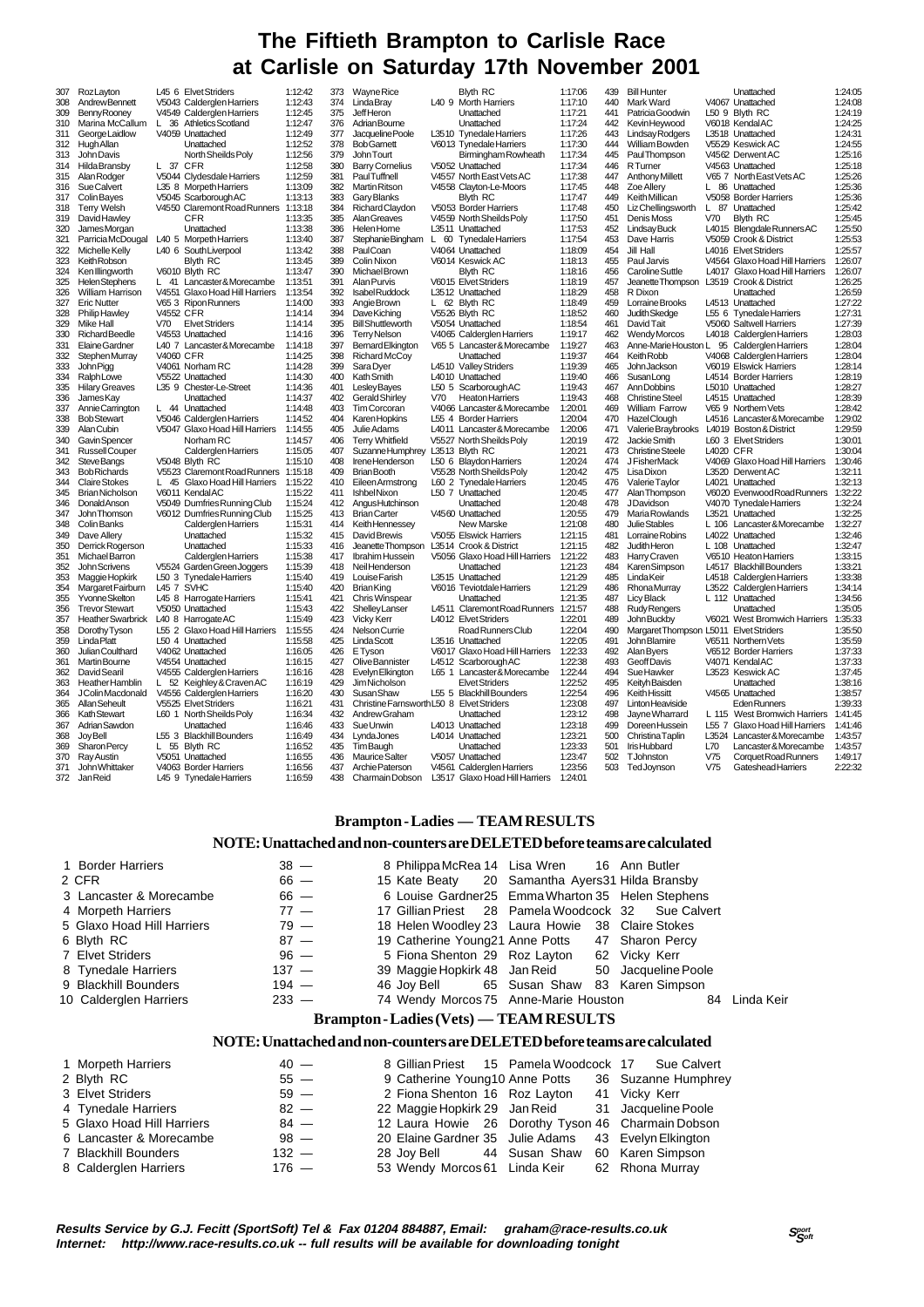# **The Fiftieth Brampton to Carlisle Race at Carlisle on Saturday 17th November 2001**

| 307 | RozLayton                |                  | L45 6 Elvet Striders           | 1:12:42 |
|-----|--------------------------|------------------|--------------------------------|---------|
| 308 | <b>Andrew Bennett</b>    |                  | V5043 Calderglen Harriers      | 1:12:43 |
| 309 | Benny Rooney             |                  | V4549 Calderglen Harriers      | 1:12:45 |
| 310 | Marina McCallum          | L                | 36 Athletics Scotland          | 1:12:47 |
| 311 | George Laidlow           |                  | V4059 Unattached               | 1:12:49 |
| 312 | Hugh Allan               |                  | Unattached                     | 1:12:52 |
| 313 | John Davis               |                  | North Sheilds Poly             | 1:12:56 |
| 314 | Hilda Bransby            | L                | 37 CFR                         | 1:12:58 |
| 315 | Alan Rodger              |                  | V5044 Clydesdale Harriers      | 1:12:59 |
| 316 | Sue Calvert              |                  | L35 8 Morpeth Harriers         | 1:13:09 |
| 317 | Colin Bayes              |                  | V5045 Scarborough AC           | 1:13:13 |
| 318 | <b>Terry Welsh</b>       |                  | V4550 Claremont Road Runners   | 1:13:18 |
| 319 | David Hawley             |                  | CFR                            | 1:13:35 |
| 320 | James Morgan             |                  | Unattached                     | 1:13:38 |
| 321 | Parricia McDougal        |                  | L40 5 Morpeth Harriers         | 1:13:40 |
| 322 | Michelle Kelly           |                  | L40 6 South Liverpool          | 1:13:42 |
| 323 | Keith Robson             |                  | <b>Blyth RC</b>                | 1:13:45 |
| 324 | Ken Illingworth          |                  | V6010 Blyth RC                 | 1:13:47 |
| 325 | <b>Helen Stephens</b>    | L                | 41 Lancaster & Morecambe       | 1:13:51 |
| 326 | William Harrison         |                  | V4551 Glaxo Hoad Hill Harriers | 1:13:54 |
| 327 | <b>Eric Nutter</b>       |                  | V65 3 Ripon Runners            | 1:14:00 |
| 328 |                          | <b>V4552 CFR</b> |                                | 1:14:14 |
|     | Philip Hawley            |                  | <b>Elvet Striders</b>          |         |
| 329 | Mike Hall                | V70              |                                | 1:14:14 |
| 330 | <b>RichardBeedle</b>     |                  | V4553 Unattached               | 1:14:16 |
| 331 | Elaine Gardner           |                  | L40 7 Lancaster & Morecambe    | 1:14:18 |
| 332 | Stephen Murray           | V4060 CFR        |                                | 1:14:25 |
| 333 | <b>John Pigg</b>         |                  | V4061 Norham RC                | 1:14:28 |
| 334 | RalphLowe                |                  | V5522 Unattached               | 1:14:30 |
| 335 | <b>Hilary Greaves</b>    |                  | L35 9 Chester-Le-Street        | 1:14:36 |
| 336 | James Kay                |                  | Unattached                     | 1:14:37 |
| 337 | Annie Carrington         | L                | 44 Unattached                  | 1:14:48 |
| 338 | <b>Bob Stewart</b>       |                  | V5046 Calderglen Harriers      | 1:14:52 |
| 339 | Alan Cubin               |                  | V5047 Glaxo Hoad Hill Harriers | 1:14:55 |
| 340 | Gavin Spencer            |                  | Norham RC                      | 1:14:57 |
| 341 | Russell Couper           |                  | Calderglen Harriers            | 1:15:05 |
| 342 | <b>SteveBangs</b>        |                  | V5048 Blyth RC                 | 1:15:10 |
| 343 | <b>Bob Richards</b>      |                  | V5523 Claremont Road Runners   | 1:15:18 |
| 344 | <b>Claire Stokes</b>     | L                | 45 Glaxo Hoad Hill Harriers    | 1:15:22 |
| 345 | Brian Nicholson          |                  | V6011 KendalAC                 | 1:15:22 |
| 346 | <b>DonaldAnson</b>       |                  | V5049 Dumfries Running Club    | 1:15:24 |
| 347 | John Thomson             |                  | V6012 Dumfries Running Club    | 1:15:25 |
| 348 | Colin Banks              |                  | Calderglen Harriers            | 1:15:31 |
| 349 | Dave Allery              |                  | Unattached                     | 1:15:32 |
| 350 | Derrick Rogerson         |                  | Unattached                     | 1:15:33 |
| 351 | Michael Barron           |                  | Calderglen Harriers            | 1:15:38 |
| 352 | John Scrivens            |                  | V5524 Garden Green Joggers     | 1:15:39 |
| 353 | Maggie Hopkirk           |                  | L50 3 Tynedale Harriers        | 1:15:40 |
| 354 | Margaret Fairburn        |                  | L45 7 SVHC                     | 1:15:40 |
| 355 | Yvonne Skelton           |                  | L45 8 Harrogate Harriers       | 1:15:41 |
| 356 | <b>Trevor Stewart</b>    |                  | V5050 Unattached               | 1:15:43 |
| 357 | <b>Heather Swarbrick</b> |                  | L40 8 Harrogate AC             | 1:15:49 |
| 358 | Dorothy Tyson            |                  | L55 2 Glaxo Hoad Hill Harriers | 1:15:55 |
| 359 | <b>Linda Platt</b>       |                  | L50 4 Unattached               | 1:15:58 |
| 360 | Julian Coulthard         |                  | V4062 Unattached               | 1:16:05 |
| 361 | Martin Bourne            |                  | V4554 Unattached               | 1:16:15 |
| 362 | David Searil             |                  | V4555 Calderglen Harriers      | 1:16:16 |
| 363 | Heather Hamblin          | L                | 52 Keighley & Craven AC        | 1:16:19 |
| 364 | J Colin Macdonald        |                  | V4556 Calderglen Harriers      | 1:16:20 |
| 365 | Allan Seheult            |                  | V5525 Elvet Striders           | 1:16:21 |
|     |                          |                  |                                |         |
| 366 | Kath Stewart             |                  | L60 1 North Sheilds Poly       | 1:16:34 |
| 367 | Adrian Sawdon            |                  | Unattached                     | 1:16:46 |
| 368 | <b>Joy Bell</b>          |                  | L55 3 Blackhill Bounders       | 1:16:49 |
| 369 | Sharon Percy             |                  | 55 Blyth RC                    | 1:16:52 |
| 370 | Ray Austin               |                  | V5051 Unattached               | 1:16:55 |
| 371 | John Whittaker           |                  | V4063 Border Harriers          | 1:16:56 |
| 372 | Jan Reid                 |                  | L45 9 Tynedale Harriers        | 1:16:59 |

| د، د | <i>vvayne</i> Rice                        |       | DIYII KU                       | <b>1.17.00</b> |
|------|-------------------------------------------|-------|--------------------------------|----------------|
| 374  | Linda Bray                                |       | L40 9 Morth Harriers           | 1:17:10        |
| 375  | <b>JeffHeron</b>                          |       | Unattached                     | 1:17:21        |
| 376  | Adrian Bourne                             |       | Unattached                     | 1:17:24        |
| 377  | Jacqueline Poole                          |       | L3510 Tynedale Harriers        | 1:17:26        |
| 378  | <b>BobGamett</b>                          |       | V6013 Tynedale Harriers        | 1:17:30        |
| 379  | John Tourt                                |       | Birmingham Rowheath            | 1:17:34        |
|      |                                           |       | V5052 Unattached               | 1:17:34        |
| 380  | <b>Barry Cornelius</b>                    |       |                                |                |
| 381  | <b>PaulTuffnell</b>                       |       | V4557 North East Vets AC       | 1:17:38        |
| 382  | Martin Ritson                             |       | V4558 Clayton-Le-Moors         | 1:17:45        |
| 383  | Gary Blanks                               |       | <b>Blyth RC</b>                | 1:17:47        |
| 384  | Richard Claydon                           |       | V5053 Border Harriers          | 1:17:48        |
| 385  | <b>Alan Greaves</b>                       |       | V4559 North Sheilds Poly       | 1:17:50        |
| 386  | Helen Horne                               |       | L3511 Unattached               | 1:17:53        |
| 387  | Stephanie Bingham                         | L.    | 60 Tynedale Harriers           | 1:17:54        |
| 388  | PaulCoan                                  |       | V4064 Unattached               | 1:18:09        |
| 389  | Colin Nixon                               |       | V6014 Keswick AC               | 1:18:13        |
| 390  | Michael Brown                             |       | <b>Blyth RC</b>                | 1:18:16        |
| 391  | Alan Purvis                               |       | V6015 Elvet Striders           | 1:18:19        |
|      |                                           |       | L3512 Unattached               | 1:18:29        |
| 392  | Isabel Ruddock                            |       |                                |                |
| 393  | Angie Brown                               |       | L 62 Blyth RC                  | 1:18:49        |
| 394  | Dave Kiching                              |       | V5526 Blyth RC                 | 1:18:52        |
| 395  | <b>Bill Shuttleworth</b>                  |       | V5054 Unattached               | 1:18:54        |
| 396  | <b>Terry Nelson</b>                       |       | V4065 Calderglen Harriers      | 1:19:17        |
| 397  | Bemard Elkington                          |       | V65 5 Lancaster & Morecambe    | 1:19:27        |
| 398  | Richard McCoy                             |       | Unattached                     | 1:19:37        |
| 399  | Sara Dyer                                 |       | L4510 Valley Striders          | 1:19:39        |
| 400  | Kath Smith                                |       | L4010 Unattached               | 1:19:40        |
| 401  | Lesley Bayes                              |       | L50 5 Scarborough AC           | 1:19:43        |
| 402  | Gerald Shirley                            | V70   | <b>Heaton Harriers</b>         | 1:19:43        |
| 403  | <b>Tim Corcoran</b>                       |       | V4066 Lancaster&Morecambe      | 1:20:01        |
| 404  |                                           |       | L55 4 Border Harriers          | 1:20:04        |
|      | Karen Hopkins                             |       |                                |                |
| 405  | Julie Adams                               |       | L4011 Lancaster&Morecambe      | 1:20:06        |
| 406  | <b>Terry Whitfield</b>                    |       | V5527 North Sheilds Poly       | 1:20:19        |
| 407  | Suzanne Humphrey                          |       | L3513 Blyth RC                 | 1:20:21        |
| 408  | Irene Henderson                           |       | L50 6 Blaydon Harriers         | 1:20:24        |
| 409  | <b>Brian Booth</b>                        |       | V5528 North Sheilds Poly       | 1:20:42        |
| 410  | Eileen Armstrong                          |       | L60 2 Tynedale Harriers        | 1:20:45        |
| 411  | <b>Ishbel Nixon</b>                       | L50 7 | Unattached                     | 1:20:45        |
| 412  | Angus Hutchinson                          |       | Unattached                     | 1:20:48        |
| 413  | <b>Brian Carter</b>                       |       | V4560 Unattached               | 1:20:55        |
| 414  | Keith Hennessey                           |       | New Marske                     | 1:21:08        |
| 415  | David Brewis                              |       | V5055 Elswick Harriers         | 1:21:15        |
| 416  |                                           |       | L3514 Crook & District         | 1:21:15        |
|      | Jeanette Thompson                         |       |                                |                |
| 417  | Ibrahim Hussein                           |       | V5056 Glaxo Hoad Hill Harriers | 1:21:22        |
| 418  | NeilHenderson                             |       | Unattached                     | 1:21:23        |
| 419  | Louise Farish                             |       | L3515 Unattached               | 1:21:29        |
| 420  | Brian King                                |       | V6016 Teviotdale Harriers      | 1:21:29        |
| 421  | Chris Winspear                            |       | Unattached                     | 1:21:35        |
| 422  | ShelleyLanser                             |       | L4511 Claremont Road Runners   | 1:21:57        |
| 423  | <b>Vicky Kerr</b>                         |       | L4012 Elvet Striders           | 1:22:01        |
| 424  | Nelson Currie                             |       | Road Runners Club              | 1:22:04        |
| 425  | Linda Scott                               |       | L3516 Unattached               | 1:22:05        |
| 426  | E Tyson                                   |       | V6017 Glaxo Hoad Hill Harriers | 1:22:33        |
| 427  | Olive Bannister                           |       | L4512 Scarborough AC           | 1:22:38        |
| 428  | Evelyn Elkington                          |       | L65 1 Lancaster&Morecambe      | 1:22:44        |
| 429  | Jim Nicholson                             |       | <b>Elvet Striders</b>          | 1:22:52        |
|      |                                           |       |                                |                |
| 430  | <b>Susan Shaw</b>                         |       | L55 5 Blackhill Bounders       | 1:22:54        |
| 431  | Christine Farnsworth L50 8 Elvet Striders |       |                                | 1:23:08        |
| 432  | Andrew Graham                             |       | Unattached                     | 1:23:12        |
| 433  | Sue Unwin                                 |       | L4013 Unattached               | 1:23:18        |
| 434  | Lynda Jones                               |       | L4014 Unattached               | 1:23:21        |
| 435  | Tim Baugh                                 |       | Unattached                     | 1:23:33        |
| 436  | Maurice Salter                            |       | V5057 Unattached               | 1:23:47        |
| 437  | Archie Paterson                           |       | V4561 Calderglen Harriers      | 1:23:56        |
|      |                                           |       |                                |                |

| 373 | Wayne Rice                                |       | <b>Blyth RC</b>                | 1:17:06 |
|-----|-------------------------------------------|-------|--------------------------------|---------|
| 374 | Linda Bray                                |       | L40 9 Morth Harriers           | 1:17:10 |
| 375 | <b>JeffHeron</b>                          |       | Unattached                     | 1:17:21 |
| 376 | Adrian Bourne                             |       | Unattached                     | 1:17:24 |
| 377 | Jacqueline Poole                          |       | L3510 Tynedale Harriers        | 1:17:26 |
|     |                                           |       |                                |         |
| 378 | <b>Bob Gamett</b>                         |       | V6013 Tynedale Harriers        | 1:17:30 |
| 379 | <b>John Tourt</b>                         |       | Birmingham Rowheath            | 1:17:34 |
| 380 | <b>Barry Cornelius</b>                    |       | V5052 Unattached               | 1:17:34 |
| 381 | <b>PaulTuffnell</b>                       |       | V4557 North East Vets AC       | 1:17:38 |
| 382 | Martin Ritson                             |       | V4558 Clayton-Le-Moors         | 1:17:45 |
| 383 | Gary Blanks                               |       | <b>Blyth RC</b>                | 1:17:47 |
| 384 | Richard Claydon                           |       | V5053 Border Harriers          | 1:17:48 |
| 385 | AlanGreaves                               |       | V4559 North Sheilds Poly       | 1:17:50 |
| 386 | Helen Horne                               |       | L3511 Unattached               | 1:17:53 |
|     |                                           |       |                                |         |
| 387 | Stephanie Bingham                         | L     | 60 Tynedale Harriers           | 1:17:54 |
| 388 | <b>PaulCoan</b>                           |       | V4064 Unattached               | 1:18:09 |
| 389 | Colin Nixon                               |       | V6014 Keswick AC               | 1:18:13 |
| 390 | Michael Brown                             |       | <b>Blyth RC</b>                | 1:18:16 |
| 391 | Alan Purvis                               |       | V6015 Elvet Striders           | 1:18:19 |
| 392 | Isabel Ruddock                            |       | L3512 Unattached               | 1:18:29 |
| 393 | Angie Brown                               | L     | 62 Blyth RC                    | 1:18:49 |
| 394 | Dave Kiching                              |       | V5526 Blyth RC                 | 1:18:52 |
| 395 | <b>Bill Shuttleworth</b>                  |       | V5054 Unattached               | 1:18:54 |
| 396 | <b>Terry Nelson</b>                       |       | V4065 Calderglen Harriers      | 1:19:17 |
| 397 |                                           |       | V65 5 Lancaster & Morecambe    | 1:19:27 |
|     | Bemard Elkington                          |       |                                |         |
| 398 | Richard McCoy                             |       | Unattached                     | 1:19:37 |
| 399 | Sara Dyer                                 |       | L4510 Valley Striders          | 1:19:39 |
| 400 | Kath Smith                                |       | L4010 Unattached               | 1:19:40 |
| 401 | Lesley Bayes                              |       | L50 5 Scarborough AC           | 1:19:43 |
| 402 | Gerald Shirley                            | V70   | <b>Heaton Harriers</b>         | 1:19:43 |
| 403 | <b>Tim Corcoran</b>                       |       | V4066 Lancaster&Morecambe      | 1:20:01 |
| 404 | Karen Hopkins                             |       | L55 4 Border Harriers          | 1:20:04 |
| 405 | Julie Adams                               |       | L4011 Lancaster&Morecambe      | 1:20:06 |
| 406 | <b>Terry Whitfield</b>                    |       | V5527 North Sheilds Poly       | 1:20:19 |
| 407 | SuzanneHumphrey L3513 Blyth RC            |       |                                | 1:20:21 |
| 408 | Irene Henderson                           |       | L50 6 Blaydon Harriers         | 1:20:24 |
|     |                                           |       |                                |         |
| 409 | <b>Brian Booth</b>                        |       | V5528 North Sheilds Poly       | 1:20:42 |
| 410 | Eileen Armstrong                          |       | L60 2 Tynedale Harriers        | 1:20:45 |
| 411 | <b>Ishbel Nixon</b>                       | L50 7 | Unattached                     | 1:20:45 |
| 412 | AngusHutchinson                           |       | Unattached                     | 1:20:48 |
| 413 | <b>Brian Carter</b>                       |       | V4560 Unattached               | 1:20:55 |
| 414 | Keith Hennessey                           |       | New Marske                     | 1:21:08 |
| 415 | David Brewis                              |       | V5055 Elswick Harriers         | 1:21:15 |
| 416 | Jeanette Thompson                         |       | L3514 Crook & District         | 1:21:15 |
| 417 | Ibrahim Hussein                           |       | V5056 Glaxo Hoad Hill Harriers | 1:21:22 |
| 418 | NeilHenderson                             |       | Unattached                     | 1:21:23 |
|     |                                           |       |                                |         |
| 419 | Louise Farish                             |       | L3515 Unattached               | 1:21:29 |
| 420 | <b>Brian King</b>                         |       | V6016 Teviotdale Harriers      | 1:21:29 |
| 421 | Chris Winspear                            |       | Unattached                     | 1:21:35 |
| 422 | <b>Shelley Lanser</b>                     |       | L4511 Claremont Road Runners   | 1:21:57 |
| 423 | <b>Vicky Kerr</b>                         |       | L4012 Elvet Striders           | 1:22:01 |
| 424 | Nelson Currie                             |       | Road Runners Club              | 1:22:04 |
| 425 | Linda Scott                               |       | L3516 Unattached               | 1:22:05 |
| 426 | E Tyson                                   |       | V6017 Glaxo Hoad Hill Harriers | 1:22:33 |
| 427 | Olive Bannister                           |       | L4512 Scarborough AC           | 1:22:38 |
| 428 |                                           |       | L65 1 Lancaster & Morecambe    | 1:22:44 |
|     | Evelyn Elkington                          |       |                                |         |
| 429 | Jim Nicholson                             |       | <b>Elvet Striders</b>          | 1:22:52 |
| 430 | <b>Susan Shaw</b>                         |       | L55 5 Blackhill Bounders       | 1:22:54 |
| 431 | Christine Farnsworth L50 8 Elvet Striders |       |                                | 1:23:08 |
| 432 | Andrew Graham                             |       | Unattached                     | 1:23:12 |
| 433 | Sue Unwin                                 |       | L4013 Unattached               | 1:23:18 |
| 434 | Lynda Jones                               |       | L4014 Unattached               | 1:23:21 |
| 435 | Tim Baugh                                 |       | Unattached                     | 1:23:33 |
| 436 | <b>Maurice Salter</b>                     |       | V5057 Unattached               | 1:23:47 |
| 437 | Archie Paterson                           |       | V4561 Calderglen Harriers      | 1:23:56 |
| 438 | Charmain Dobson                           |       | L3517 Glaxo Hoad Hill Harriers | 1:24:01 |
|     |                                           |       |                                |         |

| 439        | <b>Bill Hunter</b>                   |           | Unattached                                          | 1:24:05            |
|------------|--------------------------------------|-----------|-----------------------------------------------------|--------------------|
| 440        | Mark Ward                            |           | V4067 Unattached                                    | 1:24:08            |
| 441        | Patricia Goodwin                     |           | L50 9 Blyth RC                                      | 1:24:19            |
| 442        | Kevin Heywood                        |           | V6018 KendalAC                                      | 1:24:25            |
| 443        | Lindsay Rodgers                      |           | L3518 Unattached                                    | 1:24:31            |
| 444        | William Bowden                       |           | V5529 Keswick AC                                    | 1:24:55            |
| 445        | <b>PaulThompson</b>                  |           | V4562 Derwent AC                                    | 1:25:16            |
| 446        | <b>R</b> Turner                      |           | V4563 Unattached                                    | 1:25:18            |
| 447        | <b>Anthony Millett</b>               |           | V65 7 North East Vets AC                            | 1:25:26            |
| 448        | <b>Zoe Allery</b>                    |           | L 86 Unattached                                     | 1:25:36            |
| 449        | Keith Millican                       |           | V5058 Border Harriers                               | 1:25:36            |
| 450        | Liz Chellingsworth                   | L.        | 87 Unattached                                       | 1:25:42            |
| 451        | Denis Moss                           | V70       | <b>Blyth RC</b>                                     | 1:25:45            |
| 452        | Lindsay Buck                         |           | L4015 Blengdale Runners AC                          | 1:25:50            |
| 453        | Dave Harris                          |           | V5059 Crook & District                              | 1:25:53            |
| 454        | Jill Hall                            |           | L4016 Elvet Striders                                | 1:25:57            |
| 455        | Paul Jarvis                          |           | V4564 Glaxo Hoad Hill Harriers                      | 1:26:07            |
| 456        | Caroline Suttle                      |           | L4017 Glaxo Hoad Hill Harriers                      | 1:26:07            |
| 457        | Jeanette Thompson                    |           | L3519 Crook & District                              | 1:26:25            |
| 458        | R Dixon                              |           | Unattached                                          | 1:26:59            |
| 459        | Lorraine Brooks                      |           | L4513 Unattached                                    | 1:27:22            |
| 460        | Judith Skedge                        |           | L55 6 Tynedale Harriers                             | 1:27:31            |
| 461        | David Tait                           |           | V5060 Saltwell Harriers                             | 1:27:39            |
| 462        | <b>Wendy Morcos</b>                  |           | L4018 Calderglen Harriers                           | 1:28:03            |
| 463<br>464 | Anne-Marie Houston L<br>Keith Robb   |           | 95 Calderglen Harriers                              | 1:28:04<br>1:28:04 |
| 465        | John Jackson                         |           | V4068 Calderglen Harriers<br>V6019 Elswick Harriers | 1:28:14            |
| 466        | SusanLong                            |           | L4514 Border Harriers                               | 1:28:19            |
| 467        | Ann Dobbins                          |           | L5010 Unattached                                    | 1:28:27            |
| 468        | <b>Christine Steel</b>               |           | L4515 Unattached                                    | 1:28:39            |
| 469        | <b>William Farrow</b>                |           | V65 9 Northern Vets                                 | 1:28:42            |
| 470        | Hazel Clough                         |           | L4516 Lancaster&Morecambe                           | 1:29:02            |
| 471        | Valerie Braybrooks                   |           | L4019 Boston & District                             | 1:29:59            |
| 472        | Jackie Smith                         |           | L60 3 Elvet Striders                                | 1:30:01            |
| 473        | <b>Christine Steele</b>              | L4020 CFR |                                                     | 1:30:04            |
| 474        | <b>JFisherMack</b>                   |           | V4069 Glaxo Hoad Hill Harriers                      | 1:30:46            |
| 475        | Lisa Dixon                           |           | L3520 Derwent AC                                    | 1:32:11            |
| 476        | Valerie Taylor                       |           | L4021 Unattached                                    | 1:32:13            |
| 477        | Alan Thompson                        |           | V6020 Evenwood Road Runners                         | 1:32:22            |
| 478        | <b>JDavidson</b>                     |           | V4070 Tynedale Harriers                             | 1:32:24            |
| 479        | Maria Rowlands                       |           | L3521 Unattached                                    | 1:32:25            |
| 480        | Julie Stables                        |           | L 106 Lancaster&Morecambe                           | 1:32:27            |
| 481        | Lorraine Robins                      |           | L4022 Unattached                                    | 1:32:46            |
| 482        | Judith Heron                         |           | L 108 Unattached                                    | 1:32:47            |
| 483        | Harry Craven                         |           | V6510 Heaton Harriers                               | 1:33:15            |
| 484        | Karen Simpson                        |           | L4517 Blackhill Bounders                            | 1:33:21            |
| 485        | LindaKeir                            |           | L4518 Calderglen Harriers                           | 1:33:38            |
| 486        | Rhona Murray                         |           | L3522 Calderglen Harriers                           | 1:34:14            |
| 487        | <b>Licy Black</b>                    |           | L 112 Unattached                                    | 1:34:56            |
| 488        | <b>Rudy Rengers</b>                  |           | Unattached                                          | 1:35:05            |
| 489        | John Buckby                          |           | V6021 West Bromwich Harriers                        | 1:35:33            |
| 490        | MargaretThompson L5011 ElvetStriders |           |                                                     | 1:35:50            |
| 491        | John Blamire                         |           | V6511 Northern Vets                                 | 1:35:59            |
| 492        | <b>Alan Byers</b>                    |           | V6512 Border Harriers                               | 1:37:33            |
| 493        | <b>Geoff Davis</b>                   |           | V4071 KendalAC                                      | 1:37:33            |
| 494        | Sue Hawker                           |           | L3523 Keswick AC                                    | 1:37:45            |
| 495        | Keityh Baisden                       |           | Unattached                                          | 1:38:16            |
| 496        | <b>Keith Hissitt</b>                 |           | V4565 Unattached                                    | 1:38:57            |
| 497        | <b>Linton Heaviside</b>              |           | Eden Runners                                        | 1:39:33            |
| 498        | Jayne Wharrard                       |           | L 115 West Bromwich Harriers                        | 1:41:45            |
| 499        | Doreen Hussein                       |           | L55 7 Glaxo Hoad Hill Harriers                      | 1:41:46            |
| 500        | Christina Taplin                     |           | L3524 Lancaster & Morecambe                         | 1:43:57            |
| 501        | Iris Hubbard                         | L70       | Lancaster & Morecambe                               | 1:43:57            |
| 502        | <b>TJohnston</b>                     | V75       | Corquet Road Runners                                | 1:49:17            |
| 503        | TedJoynson                           | $V$ 75    | <b>Gateshead Harriers</b>                           | 2:22:32            |

## **Brampton - Ladies — TEAM RESULTS**

## **NOTE: Unattached and non-counters are DELETED before teams are calculated**

| 1 Border Harriers          | $38 -$  |  | 8 Philippa McRea 14 Lisa Wren 16 Ann Butler      |                                                     |            |
|----------------------------|---------|--|--------------------------------------------------|-----------------------------------------------------|------------|
| 2 CFR                      | $66 -$  |  | 15 Kate Beaty 20 Samantha Ayers31 Hilda Bransby  |                                                     |            |
| 3 Lancaster & Morecambe    | $66 -$  |  |                                                  | 6 Louise Gardner25 Emma Wharton 35 Helen Stephens   |            |
| 4 Morpeth Harriers         | $77 -$  |  |                                                  | 17 Gillian Priest 28 Pamela Woodcock 32 Sue Calvert |            |
| 5 Glaxo Hoad Hill Harriers | $79 -$  |  | 18 Helen Woodley 23 Laura Howie 38 Claire Stokes |                                                     |            |
| 6 Blyth RC                 | $87 -$  |  | 19 Catherine Young21 Anne Potts 47 Sharon Percy  |                                                     |            |
| 7 Elvet Striders           | $96 -$  |  | 5 Fiona Shenton 29 Roz Layton 62 Vicky Kerr      |                                                     |            |
| 8 Tynedale Harriers        | $137 -$ |  |                                                  | 39 Maggie Hopkirk 48 Jan Reid 50 Jacqueline Poole   |            |
| 9 Blackhill Bounders       | $194 -$ |  |                                                  | 46 Joy Bell 65 Susan Shaw 83 Karen Simpson          |            |
| 10 Calderglen Harriers     | $233 -$ |  | 74 Wendy Morcos 75 Anne-Marie Houston            | 84                                                  | Linda Keir |
|                            |         |  |                                                  |                                                     |            |

## **Brampton - Ladies (Vets) — TEAM RESULTS**

#### **NOTE: Unattached and non-counters are DELETED before teams are calculated**

| 1 Morpeth Harriers         | $40 -$  |                                               |  | 8 Gillian Priest 15 Pamela Woodcock 17 Sue Calvert   |
|----------------------------|---------|-----------------------------------------------|--|------------------------------------------------------|
| 2 Blyth RC                 | $55 -$  |                                               |  | 9 Catherine Young10 Anne Potts 36 Suzanne Humphrey   |
| 3 Elvet Striders           | $59 -$  | 2 Fiona Shenton 16 Roz Layton 41 Vicky Kerr   |  |                                                      |
| 4 Tynedale Harriers        | $82 -$  |                                               |  | 22 Maggie Hopkirk 29 Jan Reid 31 Jacqueline Poole    |
| 5 Glaxo Hoad Hill Harriers | $84 -$  |                                               |  | 12 Laura Howie 26 Dorothy Tyson 46 Charmain Dobson   |
| 6 Lancaster & Morecambe    | $98 -$  |                                               |  | 20 Elaine Gardner 35 Julie Adams 43 Evelyn Elkington |
| 7 Blackhill Bounders       | $132 -$ | 28 Joy Bell 44 Susan Shaw 60 Karen Simpson    |  |                                                      |
| 8 Calderglen Harriers      | $176 -$ | 53 Wendy Morcos 61 Linda Keir 62 Rhona Murray |  |                                                      |